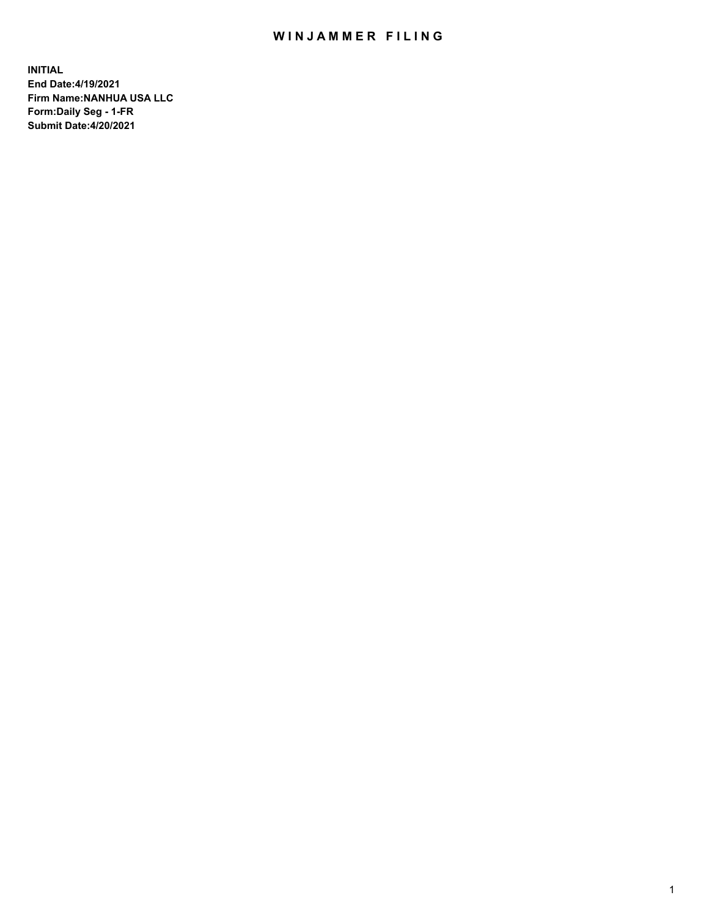## WIN JAMMER FILING

**INITIAL End Date:4/19/2021 Firm Name:NANHUA USA LLC Form:Daily Seg - 1-FR Submit Date:4/20/2021**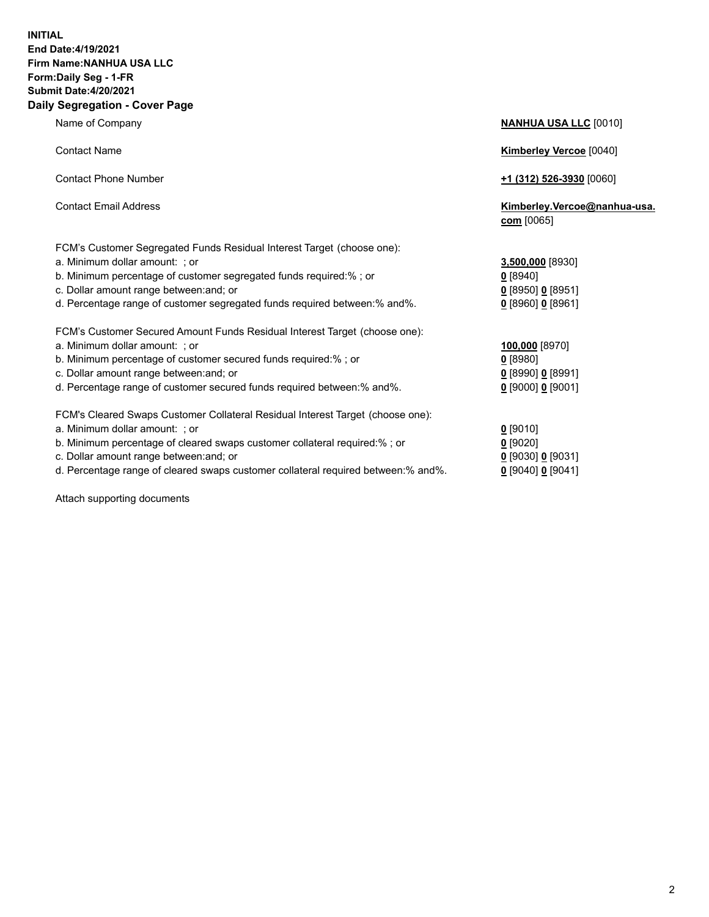## **INITIAL End Date:4/19/2021 Firm Name:NANHUA USA LLC Form:Daily Seg - 1-FR Submit Date:4/20/2021 Daily Segregation - Cover Page**

Name of Company **NANHUA USA LLC** [0010] Contact Name **Kimberley Vercoe** [0040] Contact Phone Number **+1 (312) 526-3930** [0060] Contact Email Address **Kimberley.Vercoe@nanhua-usa. com** [0065] FCM's Customer Segregated Funds Residual Interest Target (choose one): a. Minimum dollar amount: ; or **3,500,000** [8930] b. Minimum percentage of customer segregated funds required:% ; or **0** [8940] c. Dollar amount range between:and; or **0** [8950] **0** [8951] d. Percentage range of customer segregated funds required between:% and%. **0** [8960] **0** [8961] FCM's Customer Secured Amount Funds Residual Interest Target (choose one): a. Minimum dollar amount: ; or **100,000** [8970] b. Minimum percentage of customer secured funds required:% ; or **0** [8980] c. Dollar amount range between:and; or **0** [8990] **0** [8991] d. Percentage range of customer secured funds required between:% and%. **0** [9000] **0** [9001] FCM's Cleared Swaps Customer Collateral Residual Interest Target (choose one): a. Minimum dollar amount: ; or **0** [9010] b. Minimum percentage of cleared swaps customer collateral required:% ; or **0** [9020] c. Dollar amount range between:and; or **0** [9030] **0** [9031]

d. Percentage range of cleared swaps customer collateral required between:% and%. **0** [9040] **0** [9041]

Attach supporting documents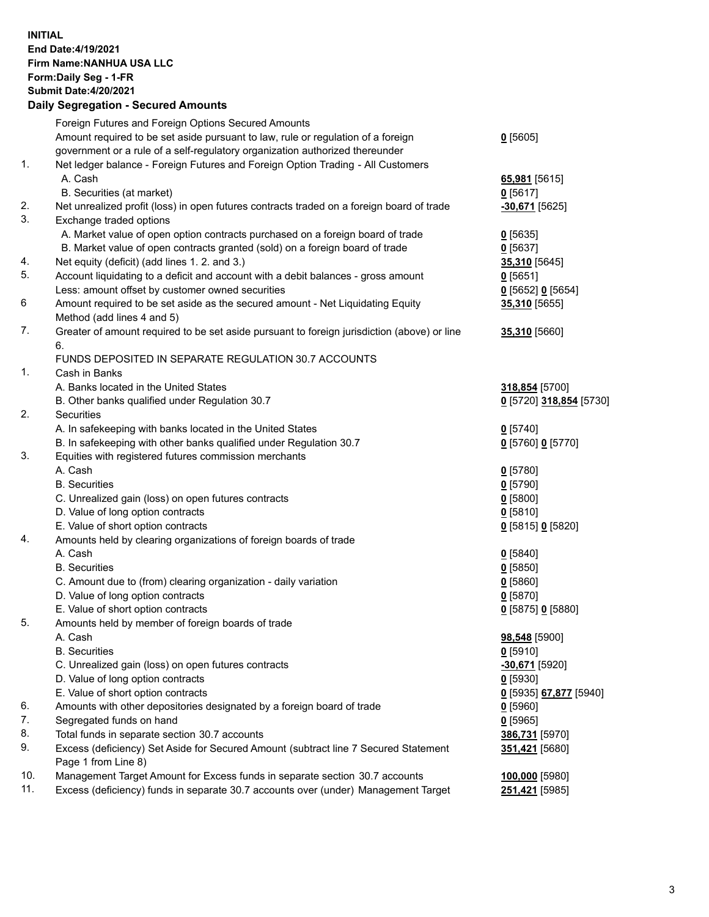**INITIAL End Date:4/19/2021 Firm Name:NANHUA USA LLC Form:Daily Seg - 1-FR Submit Date:4/20/2021**

## **Daily Segregation - Secured Amounts**

|     | Foreign Futures and Foreign Options Secured Amounts                                         |                                      |
|-----|---------------------------------------------------------------------------------------------|--------------------------------------|
|     | Amount required to be set aside pursuant to law, rule or regulation of a foreign            | $0$ [5605]                           |
|     | government or a rule of a self-regulatory organization authorized thereunder                |                                      |
| 1.  | Net ledger balance - Foreign Futures and Foreign Option Trading - All Customers             |                                      |
|     | A. Cash                                                                                     | 65,981 [5615]                        |
|     | B. Securities (at market)                                                                   | $0$ [5617]                           |
| 2.  | Net unrealized profit (loss) in open futures contracts traded on a foreign board of trade   | -30,671 [5625]                       |
| 3.  | Exchange traded options                                                                     |                                      |
|     | A. Market value of open option contracts purchased on a foreign board of trade              | $0$ [5635]                           |
|     | B. Market value of open contracts granted (sold) on a foreign board of trade                | $0$ [5637]                           |
| 4.  | Net equity (deficit) (add lines 1. 2. and 3.)                                               | 35,310 [5645]                        |
| 5.  | Account liquidating to a deficit and account with a debit balances - gross amount           | $0$ [5651]                           |
|     | Less: amount offset by customer owned securities                                            | 0 [5652] 0 [5654]                    |
| 6   | Amount required to be set aside as the secured amount - Net Liquidating Equity              | 35,310 [5655]                        |
|     | Method (add lines 4 and 5)                                                                  |                                      |
| 7.  | Greater of amount required to be set aside pursuant to foreign jurisdiction (above) or line | 35,310 [5660]                        |
|     | 6.                                                                                          |                                      |
|     | FUNDS DEPOSITED IN SEPARATE REGULATION 30.7 ACCOUNTS                                        |                                      |
| 1.  | Cash in Banks                                                                               |                                      |
|     | A. Banks located in the United States                                                       | 318,854 [5700]                       |
|     | B. Other banks qualified under Regulation 30.7                                              | 0 [5720] 318,854 [5730]              |
| 2.  | <b>Securities</b>                                                                           |                                      |
|     | A. In safekeeping with banks located in the United States                                   | $0$ [5740]                           |
|     | B. In safekeeping with other banks qualified under Regulation 30.7                          | 0 [5760] 0 [5770]                    |
| 3.  | Equities with registered futures commission merchants                                       |                                      |
|     | A. Cash                                                                                     | $0$ [5780]                           |
|     | <b>B.</b> Securities                                                                        | $0$ [5790]                           |
|     | C. Unrealized gain (loss) on open futures contracts                                         | $0$ [5800]                           |
|     | D. Value of long option contracts                                                           | 0[5810]                              |
|     | E. Value of short option contracts                                                          | 0 [5815] 0 [5820]                    |
| 4.  | Amounts held by clearing organizations of foreign boards of trade                           |                                      |
|     | A. Cash                                                                                     | $0$ [5840]                           |
|     | <b>B.</b> Securities                                                                        | $0$ [5850]                           |
|     | C. Amount due to (from) clearing organization - daily variation                             | 0[5860]                              |
|     | D. Value of long option contracts                                                           | $0$ [5870]                           |
|     | E. Value of short option contracts                                                          | 0 [5875] 0 [5880]                    |
| 5.  | Amounts held by member of foreign boards of trade                                           |                                      |
|     | A. Cash                                                                                     | 98,548 [5900]                        |
|     | <b>B.</b> Securities                                                                        | $0$ [5910]                           |
|     | C. Unrealized gain (loss) on open futures contracts                                         | -30,671 [5920]                       |
|     | D. Value of long option contracts                                                           | $0$ [5930]                           |
|     | E. Value of short option contracts                                                          | <u>0</u> [5935] <u>67,877</u> [5940] |
| 6.  | Amounts with other depositories designated by a foreign board of trade                      | $0$ [5960]                           |
| 7.  | Segregated funds on hand                                                                    | $0$ [5965]                           |
| 8.  | Total funds in separate section 30.7 accounts                                               | 386,731 [5970]                       |
| 9.  | Excess (deficiency) Set Aside for Secured Amount (subtract line 7 Secured Statement         | 351,421 [5680]                       |
|     | Page 1 from Line 8)                                                                         |                                      |
| 10. | Management Target Amount for Excess funds in separate section 30.7 accounts                 | 100,000 [5980]                       |
| 11. | Excess (deficiency) funds in separate 30.7 accounts over (under) Management Target          | 251,421 [5985]                       |
|     |                                                                                             |                                      |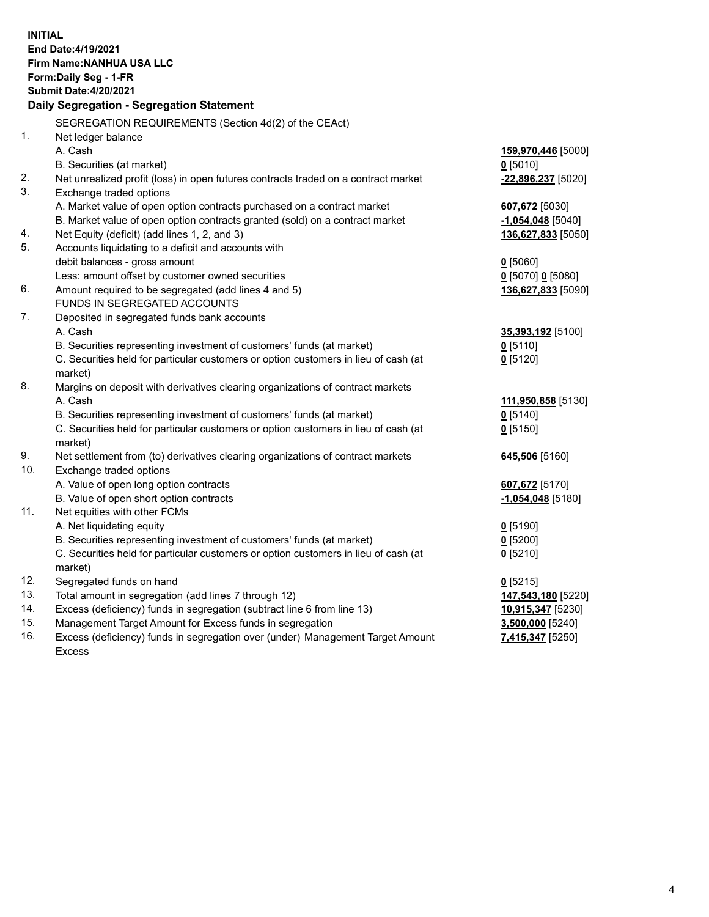| <b>INITIAL</b> | End Date: 4/19/2021<br><b>Firm Name: NANHUA USA LLC</b><br>Form: Daily Seg - 1-FR<br><b>Submit Date: 4/20/2021</b><br>Daily Segregation - Segregation Statement |                                      |
|----------------|-----------------------------------------------------------------------------------------------------------------------------------------------------------------|--------------------------------------|
|                | SEGREGATION REQUIREMENTS (Section 4d(2) of the CEAct)                                                                                                           |                                      |
| 1.             | Net ledger balance                                                                                                                                              |                                      |
|                | A. Cash                                                                                                                                                         | 159,970,446 [5000]                   |
|                | B. Securities (at market)                                                                                                                                       | $0$ [5010]                           |
| 2.             | Net unrealized profit (loss) in open futures contracts traded on a contract market                                                                              | -22,896,237 [5020]                   |
| 3.             | Exchange traded options                                                                                                                                         |                                      |
|                | A. Market value of open option contracts purchased on a contract market                                                                                         | 607,672 [5030]                       |
|                | B. Market value of open option contracts granted (sold) on a contract market                                                                                    | $-1,054,048$ [5040]                  |
| 4.             | Net Equity (deficit) (add lines 1, 2, and 3)                                                                                                                    | 136,627,833 [5050]                   |
| 5.             | Accounts liquidating to a deficit and accounts with                                                                                                             |                                      |
|                | debit balances - gross amount                                                                                                                                   | $0$ [5060]                           |
|                | Less: amount offset by customer owned securities                                                                                                                | $0$ [5070] 0 [5080]                  |
| 6.             | Amount required to be segregated (add lines 4 and 5)                                                                                                            | 136,627,833 [5090]                   |
|                | FUNDS IN SEGREGATED ACCOUNTS                                                                                                                                    |                                      |
| 7.             | Deposited in segregated funds bank accounts                                                                                                                     |                                      |
|                | A. Cash                                                                                                                                                         | 35,393,192 <sub>[5100]</sub>         |
|                | B. Securities representing investment of customers' funds (at market)                                                                                           | $0$ [5110]                           |
|                | C. Securities held for particular customers or option customers in lieu of cash (at                                                                             | $0$ [5120]                           |
|                | market)                                                                                                                                                         |                                      |
| 8.             | Margins on deposit with derivatives clearing organizations of contract markets                                                                                  |                                      |
|                | A. Cash                                                                                                                                                         | 111,950,858 [5130]                   |
|                | B. Securities representing investment of customers' funds (at market)                                                                                           | $0$ [5140]                           |
|                | C. Securities held for particular customers or option customers in lieu of cash (at                                                                             | $0$ [5150]                           |
|                | market)                                                                                                                                                         |                                      |
| 9.             | Net settlement from (to) derivatives clearing organizations of contract markets                                                                                 | 645,506 [5160]                       |
| 10.            | Exchange traded options                                                                                                                                         |                                      |
|                | A. Value of open long option contracts                                                                                                                          | 607,672 [5170]                       |
|                | B. Value of open short option contracts                                                                                                                         | -1,054,048 [5180]                    |
| 11.            | Net equities with other FCMs                                                                                                                                    |                                      |
|                | A. Net liquidating equity                                                                                                                                       | $0$ [5190]                           |
|                | B. Securities representing investment of customers' funds (at market)                                                                                           | $0$ [5200]                           |
|                |                                                                                                                                                                 |                                      |
|                | C. Securities held for particular customers or option customers in lieu of cash (at                                                                             | $0$ [5210]                           |
| 12.<br>13.     | market)                                                                                                                                                         |                                      |
|                | Segregated funds on hand                                                                                                                                        | $0$ [5215]                           |
|                | Total amount in segregation (add lines 7 through 12)                                                                                                            | 147,543,180 [5220]                   |
| 14.            | Excess (deficiency) funds in segregation (subtract line 6 from line 13)                                                                                         | 10,915,347 [5230]                    |
| 15.<br>16.     | Management Target Amount for Excess funds in segregation<br>Excess (deficiency) funds in segregation over (under) Management Target Amount                      | 3,500,000 [5240]<br>7,415,347 [5250] |